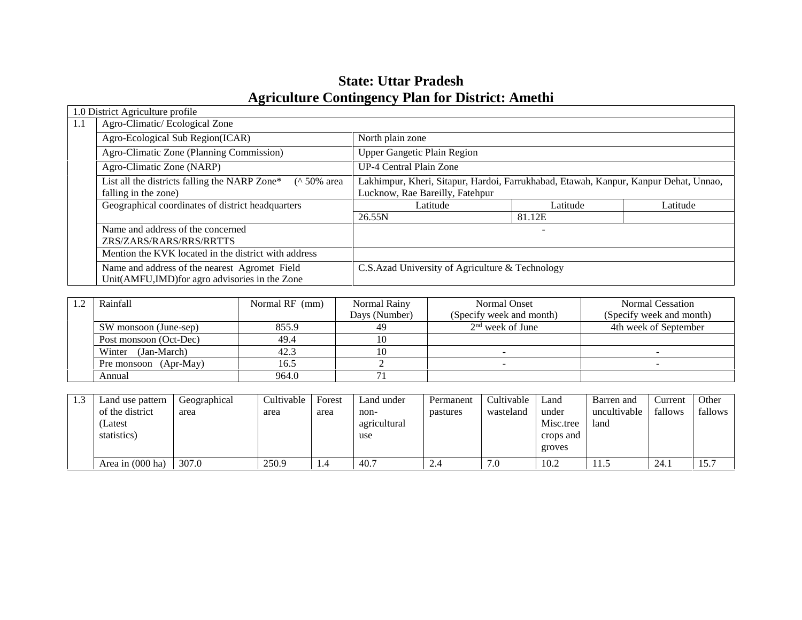# **State: Uttar Pradesh Agriculture Contingency Plan for District: Amethi**

|     | 1.0 District Agriculture profile                                                                |                                                                                                                         |          |          |  |  |
|-----|-------------------------------------------------------------------------------------------------|-------------------------------------------------------------------------------------------------------------------------|----------|----------|--|--|
| 1.1 | Agro-Climatic/Ecological Zone                                                                   |                                                                                                                         |          |          |  |  |
|     | Agro-Ecological Sub Region(ICAR)                                                                | North plain zone                                                                                                        |          |          |  |  |
|     | Agro-Climatic Zone (Planning Commission)                                                        | <b>Upper Gangetic Plain Region</b>                                                                                      |          |          |  |  |
|     | Agro-Climatic Zone (NARP)                                                                       | <b>UP-4 Central Plain Zone</b>                                                                                          |          |          |  |  |
|     | List all the districts falling the NARP Zone*<br>$($ 50% area<br>falling in the zone)           | Lakhimpur, Kheri, Sitapur, Hardoi, Farrukhabad, Etawah, Kanpur, Kanpur Dehat, Unnao,<br>Lucknow, Rae Bareilly, Fatehpur |          |          |  |  |
|     | Geographical coordinates of district headquarters                                               | Latitude                                                                                                                | Latitude | Latitude |  |  |
|     |                                                                                                 | 26.55N                                                                                                                  | 81.12E   |          |  |  |
|     | Name and address of the concerned                                                               |                                                                                                                         |          |          |  |  |
|     | ZRS/ZARS/RARS/RRS/RRTTS                                                                         |                                                                                                                         |          |          |  |  |
|     | Mention the KVK located in the district with address                                            |                                                                                                                         |          |          |  |  |
|     | Name and address of the nearest Agromet Field<br>Unit(AMFU,IMD) for agro advisories in the Zone | C.S.Azad University of Agriculture & Technology                                                                         |          |          |  |  |

| Rainfall               | Normal RF (mm) | Normal Rainy  | Normal Onset             | Normal Cessation         |
|------------------------|----------------|---------------|--------------------------|--------------------------|
|                        |                | Days (Number) | (Specify week and month) | (Specify week and month) |
| SW monsoon (June-sep)  | 855.9          | 49            | $2nd$ week of June       | 4th week of September    |
| Post monsoon (Oct-Dec) | 49.4           |               |                          |                          |
| Winter (Jan-March)     | 42.3           |               |                          |                          |
| Pre monsoon (Apr-May)  | 16.5           |               |                          |                          |
| Annual                 | 964.0          |               |                          |                          |

| 1.3 | Land use pattern           | Geographical | Cultivable | Forest | Land under   | Permanent | Cultivable | Land      | Barren and   | Current | Other   |
|-----|----------------------------|--------------|------------|--------|--------------|-----------|------------|-----------|--------------|---------|---------|
|     | of the district            | area         | area       | area   | non-         | pastures  | wasteland  | under     | uncultivable | fallows | fallows |
|     | (Latest                    |              |            |        | agricultural |           |            | Misc.tree | land         |         |         |
|     | statistics)                |              |            |        | use          |           |            | crops and |              |         |         |
|     |                            |              |            |        |              |           |            | groves    |              |         |         |
|     | Area in $(000 \text{ ha})$ | 307.0        | 250.9      | 1.4    | 40.7         | 2.4       | 7.0        | 10.2      | 11.5         | 24.     | 15.7    |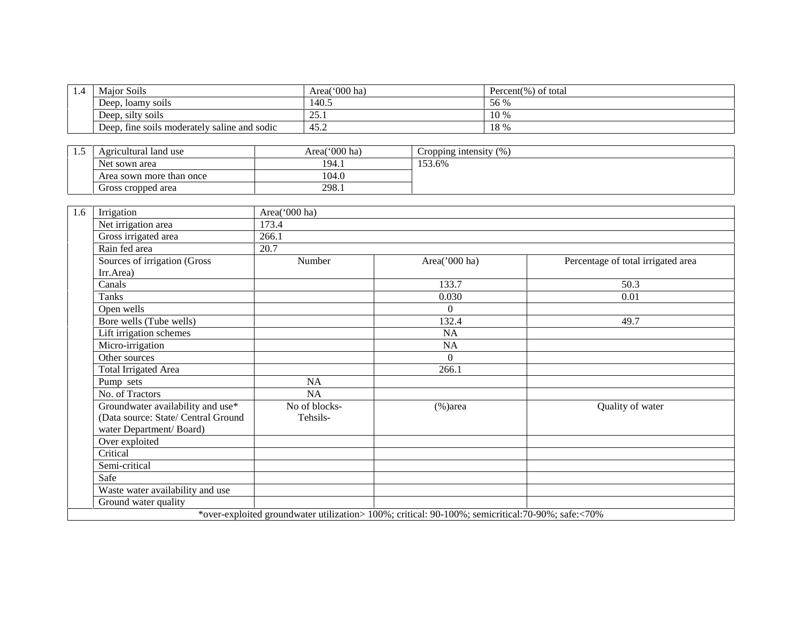| 1.4 | Maior Soils                                  | Area('000 ha) | Percent(%) of total |
|-----|----------------------------------------------|---------------|---------------------|
|     | Deep, loamy soils                            | 140.5         | 56 %                |
|     | Deep, silty soils                            | ົ<br>20. L    | 10 %                |
|     | Deep, fine soils moderately saline and sodic | 45.2          | 18 %                |

| ن د ل | Agricultural land use    | Area('000 ha) | Cropping intensity $(\%)$ |
|-------|--------------------------|---------------|---------------------------|
|       | Net sown area            | 194.1         | 153.6%                    |
|       | Area sown more than once | 104.0         |                           |
|       | Gross cropped area       | 298.1         |                           |

| 1.6 | Irrigation                          | Area('000 ha) |                                                                                                   |                                    |
|-----|-------------------------------------|---------------|---------------------------------------------------------------------------------------------------|------------------------------------|
|     | Net irrigation area                 | 173.4         |                                                                                                   |                                    |
|     | Gross irrigated area                | 266.1         |                                                                                                   |                                    |
|     | Rain fed area                       | 20.7          |                                                                                                   |                                    |
|     | Sources of irrigation (Gross        | Number        | Area('000 ha)                                                                                     | Percentage of total irrigated area |
|     | Irr.Area)                           |               |                                                                                                   |                                    |
|     | Canals                              |               | 133.7                                                                                             | 50.3                               |
|     | Tanks                               |               | 0.030                                                                                             | 0.01                               |
|     | Open wells                          |               | $\theta$                                                                                          |                                    |
|     | Bore wells (Tube wells)             |               | 132.4                                                                                             | 49.7                               |
|     | Lift irrigation schemes             |               | <b>NA</b>                                                                                         |                                    |
|     | Micro-irrigation                    |               | NA                                                                                                |                                    |
|     | Other sources                       |               | $\Omega$                                                                                          |                                    |
|     | Total Irrigated Area                |               | 266.1                                                                                             |                                    |
|     | Pump sets                           | NA            |                                                                                                   |                                    |
|     | No. of Tractors                     | <b>NA</b>     |                                                                                                   |                                    |
|     | Groundwater availability and use*   | No of blocks- | $%$ )area                                                                                         | Quality of water                   |
|     | (Data source: State/ Central Ground | Tehsils-      |                                                                                                   |                                    |
|     | water Department/Board)             |               |                                                                                                   |                                    |
|     | Over exploited                      |               |                                                                                                   |                                    |
|     | Critical                            |               |                                                                                                   |                                    |
|     | Semi-critical                       |               |                                                                                                   |                                    |
|     | Safe                                |               |                                                                                                   |                                    |
|     | Waste water availability and use    |               |                                                                                                   |                                    |
|     | Ground water quality                |               |                                                                                                   |                                    |
|     |                                     |               | *over-exploited groundwater utilization> 100%; critical: 90-100%; semicritical: 70-90%; safe:<70% |                                    |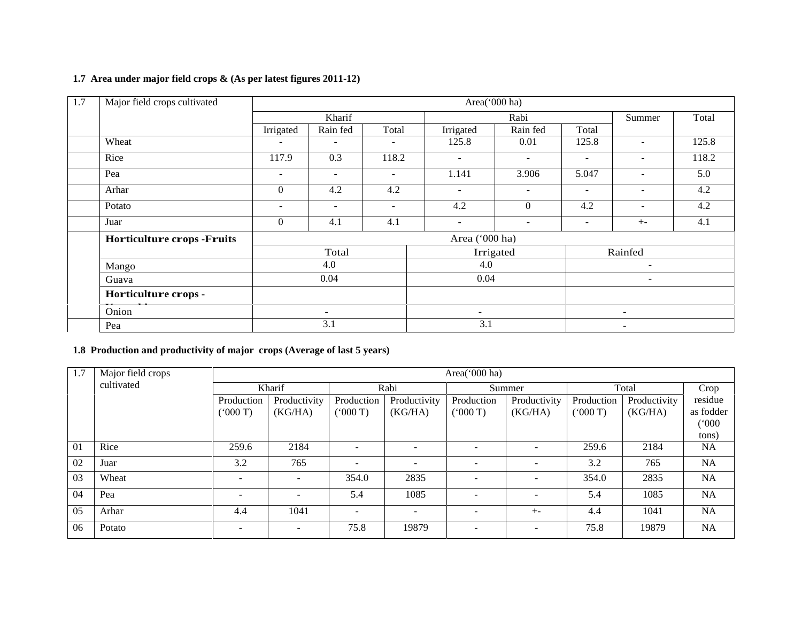#### **1.7 Area under major field crops & (As per latest figures 2011-12)**

| Major field crops cultivated<br>1.7 |                          |                          |                          | Area('000 ha)            |                  |                          |                          |       |  |
|-------------------------------------|--------------------------|--------------------------|--------------------------|--------------------------|------------------|--------------------------|--------------------------|-------|--|
|                                     |                          | Kharif                   |                          | Rabi                     |                  |                          | Summer                   | Total |  |
|                                     | Irrigated                | Rain fed                 | Total                    | Irrigated                | Rain fed         | Total                    |                          |       |  |
| Wheat                               | $\overline{\phantom{0}}$ | $\overline{\phantom{a}}$ | $\overline{\phantom{a}}$ | 125.8                    | 0.01             | 125.8                    |                          | 125.8 |  |
| Rice                                | 117.9                    | 0.3                      | 118.2                    | $\sim$                   | $\sim$           | $\overline{\phantom{a}}$ | -                        | 118.2 |  |
| Pea                                 | $\sim$                   | $\sim$                   | $\overline{\phantom{a}}$ | 1.141                    | 3.906            | 5.047                    | $\overline{\phantom{0}}$ | 5.0   |  |
| Arhar                               | $\boldsymbol{0}$         | 4.2                      | 4.2                      | $\sim$                   | $\sim$           | $\overline{\phantom{a}}$ | $\overline{\phantom{a}}$ | 4.2   |  |
| Potato                              | $\overline{\phantom{a}}$ | $\sim$                   | $\sim$                   | 4.2                      | $\boldsymbol{0}$ | 4.2                      | $\overline{\phantom{a}}$ | 4.2   |  |
| Juar                                | $\theta$                 | 4.1                      | 4.1                      | $\sim$                   | $\sim$           | $\overline{\phantom{a}}$ | $+ -$                    | 4.1   |  |
| <b>Horticulture crops -Fruits</b>   |                          | Area ('000 ha)           |                          |                          |                  |                          |                          |       |  |
|                                     |                          | Total                    |                          |                          | Irrigated        |                          | Rainfed                  |       |  |
| Mango                               |                          | 4.0                      |                          | 4.0                      |                  | $\blacksquare$           |                          |       |  |
| Guava                               |                          | 0.04                     |                          | 0.04                     |                  |                          | $\overline{\phantom{a}}$ |       |  |
| Horticulture crops -                |                          |                          |                          |                          |                  |                          |                          |       |  |
| Onion                               |                          | ۰.                       |                          | $\overline{\phantom{a}}$ |                  | $\sim$                   |                          |       |  |
| Pea                                 |                          | 3.1                      |                          | 3.1                      |                  |                          | Ξ.                       |       |  |

### **1.8 Production and productivity of major crops (Average of last 5 years)**

| 1.7 | Major field crops | Area('000 ha)            |                          |                          |                          |                          |              |            |              |                             |  |
|-----|-------------------|--------------------------|--------------------------|--------------------------|--------------------------|--------------------------|--------------|------------|--------------|-----------------------------|--|
|     | cultivated        | Kharif                   |                          | Rabi                     |                          | Summer                   |              | Total      |              | Crop                        |  |
|     |                   | Production               | Productivity             | Production               | Productivity             | Production               | Productivity | Production | Productivity | residue                     |  |
|     |                   | (000T)                   | (KG/HA)                  | (000T)                   | (KG/HA)                  | (000T)                   | (KG/HA)      | (000T)     | (KG/HA)      | as fodder<br>(000)<br>tons) |  |
| 01  | Rice              | 259.6                    | 2184                     |                          |                          | $\overline{\phantom{a}}$ |              | 259.6      | 2184         | <b>NA</b>                   |  |
| 02  | Juar              | 3.2                      | 765                      | $\sim$                   | $\overline{\phantom{a}}$ | $\overline{\phantom{a}}$ |              | 3.2        | 765          | NA                          |  |
| 03  | Wheat             | $\overline{\phantom{a}}$ | $\overline{\phantom{a}}$ | 354.0                    | 2835                     | $\overline{\phantom{a}}$ | ۰            | 354.0      | 2835         | NA                          |  |
| 04  | Pea               | $\overline{\phantom{0}}$ | $\overline{\phantom{a}}$ | 5.4                      | 1085                     | $\overline{\phantom{a}}$ |              | 5.4        | 1085         | <b>NA</b>                   |  |
| 05  | Arhar             | 4.4                      | 1041                     | $\overline{\phantom{a}}$ | $\overline{\phantom{a}}$ | $\overline{\phantom{a}}$ | $+ -$        | 4.4        | 1041         | NA                          |  |
| 06  | Potato            | $\overline{\phantom{a}}$ | $\overline{\phantom{a}}$ | 75.8                     | 19879                    | $\overline{\phantom{a}}$ |              | 75.8       | 19879        | <b>NA</b>                   |  |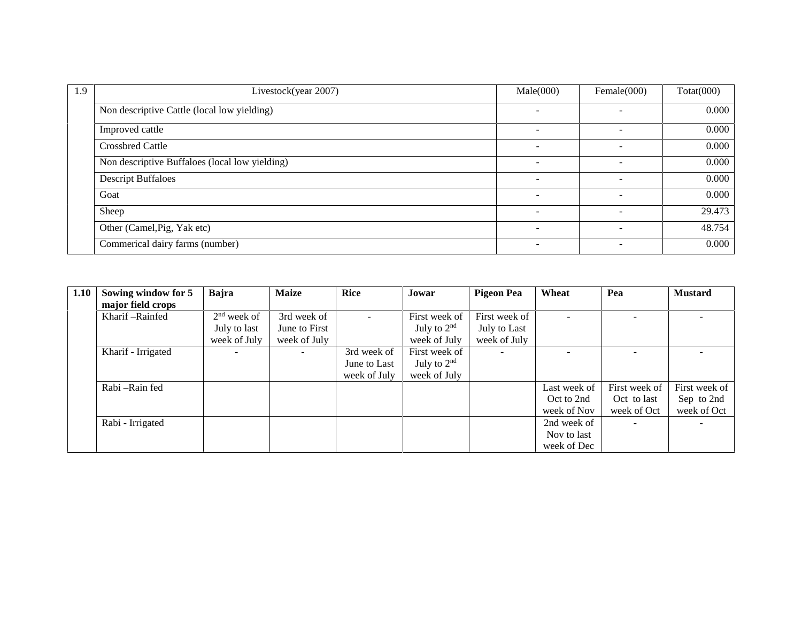| 1.9 | Livestock(year 2007)                           | Male(000)                | Female $(000)$           | $\text{Total}(000)$ |
|-----|------------------------------------------------|--------------------------|--------------------------|---------------------|
|     | Non descriptive Cattle (local low yielding)    | $\overline{a}$           | $\sim$                   | 0.000               |
|     | Improved cattle                                |                          | -                        | 0.000               |
|     | <b>Crossbred Cattle</b>                        |                          |                          | 0.000               |
|     | Non descriptive Buffaloes (local low yielding) |                          |                          | 0.000               |
|     | <b>Descript Buffaloes</b>                      |                          |                          | 0.000               |
|     | Goat                                           |                          |                          | 0.000               |
|     | Sheep                                          |                          |                          | 29.473              |
|     | Other (Camel, Pig, Yak etc)                    |                          | -                        | 48.754              |
|     | Commerical dairy farms (number)                | $\overline{\phantom{a}}$ | $\overline{\phantom{0}}$ | 0.000               |

| 1.10 | Sowing window for 5 | Bajra         | <b>Maize</b>  | <b>Rice</b>  | Jowar         | <b>Pigeon Pea</b> | Wheat        | Pea           | <b>Mustard</b>           |
|------|---------------------|---------------|---------------|--------------|---------------|-------------------|--------------|---------------|--------------------------|
|      | major field crops   |               |               |              |               |                   |              |               |                          |
|      | Kharif-Rainfed      | $2nd$ week of | 3rd week of   | $\sim$       | First week of | First week of     |              |               | $\overline{\phantom{a}}$ |
|      |                     | July to last  | June to First |              | July to $2nd$ | July to Last      |              |               |                          |
|      |                     | week of July  | week of July  |              | week of July  | week of July      |              |               |                          |
|      | Kharif - Irrigated  |               | $\sim$        | 3rd week of  | First week of |                   |              |               | $\sim$                   |
|      |                     |               |               | June to Last | July to $2nd$ |                   |              |               |                          |
|      |                     |               |               | week of July | week of July  |                   |              |               |                          |
|      | Rabi - Rain fed     |               |               |              |               |                   | Last week of | First week of | First week of            |
|      |                     |               |               |              |               |                   | Oct to 2nd   | Oct to last   | Sep to 2nd               |
|      |                     |               |               |              |               |                   | week of Nov  | week of Oct   | week of Oct              |
|      | Rabi - Irrigated    |               |               |              |               |                   | 2nd week of  | $\sim$        |                          |
|      |                     |               |               |              |               |                   | Nov to last  |               |                          |
|      |                     |               |               |              |               |                   | week of Dec  |               |                          |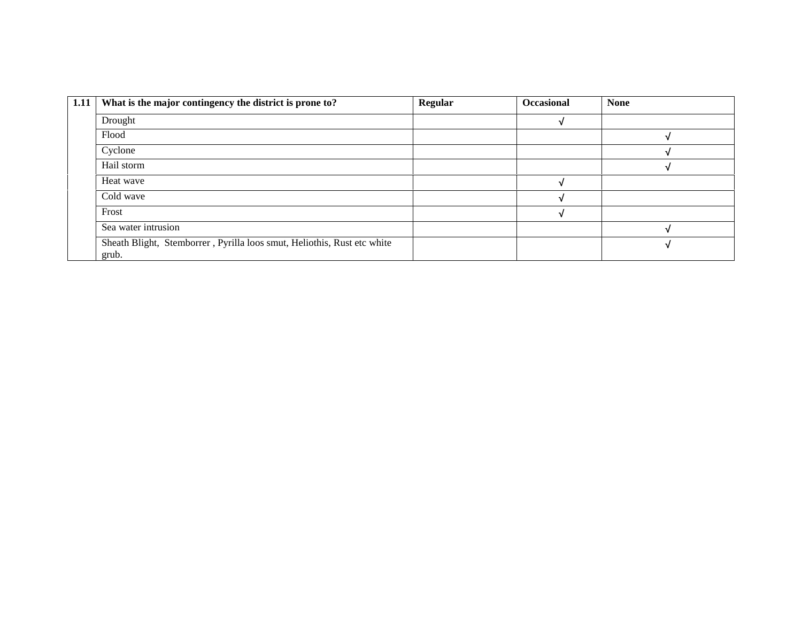| What is the major contingency the district is prone to?                 | <b>Regular</b> | <b>Occasional</b> | <b>None</b> |
|-------------------------------------------------------------------------|----------------|-------------------|-------------|
| Drought                                                                 |                |                   |             |
| Flood                                                                   |                |                   |             |
| Cyclone                                                                 |                |                   |             |
| Hail storm                                                              |                |                   |             |
| Heat wave                                                               |                |                   |             |
| Cold wave                                                               |                |                   |             |
| Frost                                                                   |                |                   |             |
| Sea water intrusion                                                     |                |                   |             |
| Sheath Blight, Stemborrer, Pyrilla loos smut, Heliothis, Rust etc white |                |                   |             |
|                                                                         | grub.          |                   |             |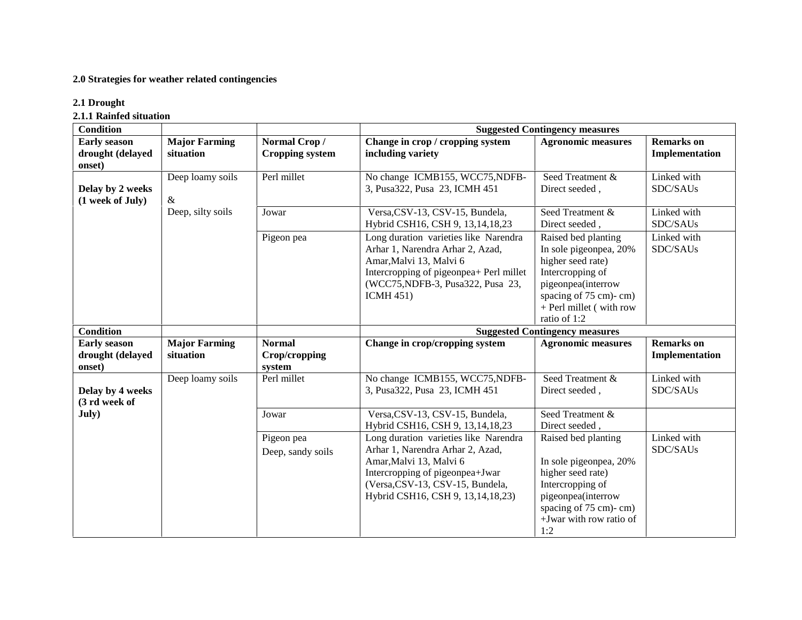#### **2.0 Strategies for weather related contingencies**

#### **2.1 Drought**

**2.1.1 Rainfed situation**

| <b>Condition</b>                                  |                                   | <b>Suggested Contingency measures</b>    |                                                                                                                                                                                                                     |                                                                                                                                                                                  |                                     |  |  |  |  |  |
|---------------------------------------------------|-----------------------------------|------------------------------------------|---------------------------------------------------------------------------------------------------------------------------------------------------------------------------------------------------------------------|----------------------------------------------------------------------------------------------------------------------------------------------------------------------------------|-------------------------------------|--|--|--|--|--|
| <b>Early season</b><br>drought (delayed<br>onset) | <b>Major Farming</b><br>situation | Normal Crop/<br><b>Cropping system</b>   | Change in crop / cropping system<br>including variety                                                                                                                                                               | <b>Agronomic measures</b>                                                                                                                                                        | <b>Remarks</b> on<br>Implementation |  |  |  |  |  |
| Delay by 2 weeks<br>(1 week of July)              | Deep loamy soils<br>&             | Perl millet                              | No change ICMB155, WCC75, NDFB-<br>3, Pusa322, Pusa 23, ICMH 451                                                                                                                                                    | Seed Treatment &<br>Direct seeded,                                                                                                                                               | Linked with<br>SDC/SAUs             |  |  |  |  |  |
|                                                   | Deep, silty soils                 | Jowar                                    | Versa, CSV-13, CSV-15, Bundela,<br>Hybrid CSH16, CSH 9, 13, 14, 18, 23                                                                                                                                              | Seed Treatment &<br>Direct seeded,                                                                                                                                               | Linked with<br>SDC/SAUs             |  |  |  |  |  |
|                                                   |                                   | Pigeon pea                               | Long duration varieties like Narendra<br>Arhar 1, Narendra Arhar 2, Azad,<br>Amar, Malvi 13, Malvi 6<br>Intercropping of pigeonpea+ Perl millet<br>(WCC75, NDFB-3, Pusa 322, Pusa 23,<br><b>ICMH 451)</b>           | Raised bed planting<br>In sole pigeonpea, 20%<br>higher seed rate)<br>Intercropping of<br>pigeonpea(interrow<br>spacing of 75 cm)-cm)<br>+ Perl millet (with row<br>ratio of 1:2 | Linked with<br>SDC/SAUs             |  |  |  |  |  |
| <b>Condition</b>                                  |                                   |                                          | <b>Suggested Contingency measures</b>                                                                                                                                                                               |                                                                                                                                                                                  |                                     |  |  |  |  |  |
| <b>Early season</b><br>drought (delayed<br>onset) | <b>Major Farming</b><br>situation | <b>Normal</b><br>Crop/cropping<br>system | Change in crop/cropping system                                                                                                                                                                                      | <b>Agronomic measures</b>                                                                                                                                                        | <b>Remarks</b> on<br>Implementation |  |  |  |  |  |
| Delay by 4 weeks<br>(3 rd week of                 | Deep loamy soils                  | Perl millet                              | No change ICMB155, WCC75, NDFB-<br>3, Pusa322, Pusa 23, ICMH 451                                                                                                                                                    | Seed Treatment &<br>Direct seeded,                                                                                                                                               | Linked with<br>SDC/SAUs             |  |  |  |  |  |
| July)                                             |                                   | Jowar                                    | Versa, CSV-13, CSV-15, Bundela,<br>Hybrid CSH16, CSH 9, 13, 14, 18, 23                                                                                                                                              | Seed Treatment &<br>Direct seeded,                                                                                                                                               |                                     |  |  |  |  |  |
|                                                   |                                   | Pigeon pea<br>Deep, sandy soils          | Long duration varieties like Narendra<br>Arhar 1, Narendra Arhar 2, Azad,<br>Amar, Malvi 13, Malvi 6<br>Intercropping of pigeonpea+Jwar<br>(Versa, CSV-13, CSV-15, Bundela,<br>Hybrid CSH16, CSH 9, 13, 14, 18, 23) | Raised bed planting<br>In sole pigeonpea, 20%<br>higher seed rate)<br>Intercropping of<br>pigeonpea(interrow<br>spacing of 75 cm)-cm)<br>+Jwar with row ratio of<br>1:2          | Linked with<br>SDC/SAUs             |  |  |  |  |  |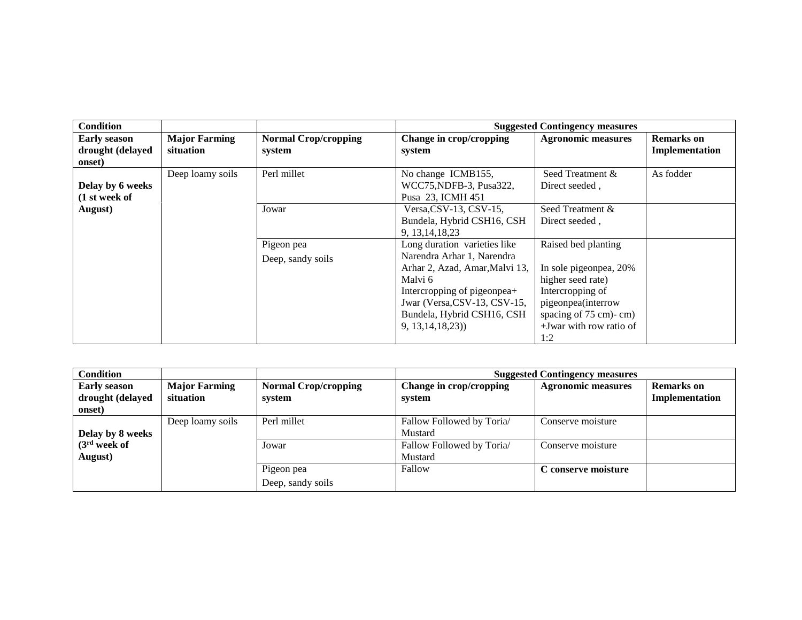| <b>Condition</b>                                  |                                   |                                       |                                                                           | <b>Suggested Contingency measures</b>                      |                                     |
|---------------------------------------------------|-----------------------------------|---------------------------------------|---------------------------------------------------------------------------|------------------------------------------------------------|-------------------------------------|
| <b>Early season</b><br>drought (delayed<br>onset) | <b>Major Farming</b><br>situation | <b>Normal Crop/cropping</b><br>system | Change in crop/cropping<br>system                                         | <b>Agronomic measures</b>                                  | <b>Remarks</b> on<br>Implementation |
| Delay by 6 weeks<br>(1 st week of                 | Deep loamy soils                  | Perl millet                           | No change ICMB155,<br>WCC75, NDFB-3, Pusa 322,<br>Pusa 23, ICMH 451       | Seed Treatment &<br>Direct seeded,                         | As fodder                           |
| August)                                           |                                   | Jowar                                 | Versa, CSV-13, CSV-15,<br>Bundela, Hybrid CSH16, CSH<br>9, 13, 14, 18, 23 | Seed Treatment &<br>Direct seeded,                         |                                     |
|                                                   |                                   | Pigeon pea                            | Long duration varieties like<br>Narendra Arhar 1, Narendra                | Raised bed planting                                        |                                     |
|                                                   |                                   | Deep, sandy soils                     | Arhar 2, Azad, Amar, Malvi 13,<br>Malvi 6                                 | In sole pigeonpea, 20%<br>higher seed rate)                |                                     |
|                                                   |                                   |                                       | Intercropping of pigeonpea+<br>Jwar (Versa, CSV-13, CSV-15,               | Intercropping of<br>pigeonpea(interrow                     |                                     |
|                                                   |                                   |                                       | Bundela, Hybrid CSH16, CSH<br>9, 13, 14, 18, 23)                          | spacing of 75 cm)-cm)<br>$+$ Jwar with row ratio of<br>1:2 |                                     |

| <b>Condition</b>                                  |                                   |                                       | <b>Suggested Contingency measures</b> |                           |                                     |  |
|---------------------------------------------------|-----------------------------------|---------------------------------------|---------------------------------------|---------------------------|-------------------------------------|--|
| <b>Early season</b><br>drought (delayed<br>onset) | <b>Major Farming</b><br>situation | <b>Normal Crop/cropping</b><br>system | Change in crop/cropping<br>system     | <b>Agronomic measures</b> | <b>Remarks</b> on<br>Implementation |  |
| Delay by 8 weeks                                  | Deep loamy soils                  | Perl millet                           | Fallow Followed by Toria/<br>Mustard  | Conserve moisture         |                                     |  |
| (3 <sup>rd</sup> week of<br>August)               |                                   | Jowar                                 | Fallow Followed by Toria/<br>Mustard  | Conserve moisture         |                                     |  |
|                                                   |                                   | Pigeon pea                            | Fallow                                | C conserve moisture       |                                     |  |
|                                                   |                                   | Deep, sandy soils                     |                                       |                           |                                     |  |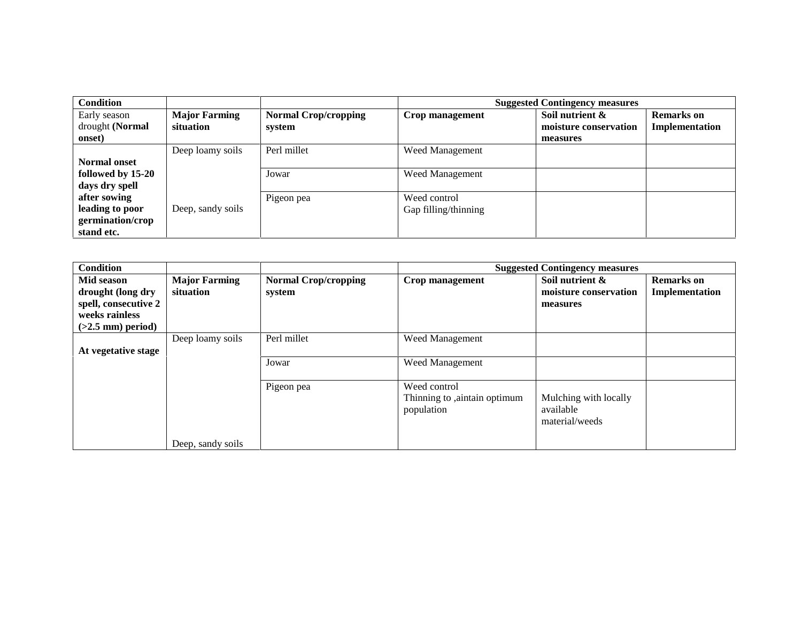| <b>Condition</b>    |                      |                             |                      | <b>Suggested Contingency measures</b> |                   |  |  |
|---------------------|----------------------|-----------------------------|----------------------|---------------------------------------|-------------------|--|--|
| Early season        | <b>Major Farming</b> | <b>Normal Crop/cropping</b> | Crop management      | Soil nutrient &                       | <b>Remarks</b> on |  |  |
| drought (Normal     | situation            | system                      |                      | moisture conservation                 | Implementation    |  |  |
| onset)              |                      |                             |                      | measures                              |                   |  |  |
|                     | Deep loamy soils     | Perl millet                 | Weed Management      |                                       |                   |  |  |
| <b>Normal onset</b> |                      |                             |                      |                                       |                   |  |  |
| followed by 15-20   |                      | Jowar                       | Weed Management      |                                       |                   |  |  |
| days dry spell      |                      |                             |                      |                                       |                   |  |  |
| after sowing        |                      | Pigeon pea                  | Weed control         |                                       |                   |  |  |
| leading to poor     | Deep, sandy soils    |                             | Gap filling/thinning |                                       |                   |  |  |
| germination/crop    |                      |                             |                      |                                       |                   |  |  |
| stand etc.          |                      |                             |                      |                                       |                   |  |  |

| <b>Condition</b>                                                                                 |                                   |                                       | <b>Suggested Contingency measures</b>                      |                                                      |                                     |  |
|--------------------------------------------------------------------------------------------------|-----------------------------------|---------------------------------------|------------------------------------------------------------|------------------------------------------------------|-------------------------------------|--|
| Mid season<br>drought (long dry<br>spell, consecutive 2<br>weeks rainless<br>$(>2.5$ mm) period) | <b>Major Farming</b><br>situation | <b>Normal Crop/cropping</b><br>system | Crop management                                            | Soil nutrient &<br>moisture conservation<br>measures | <b>Remarks</b> on<br>Implementation |  |
| At vegetative stage                                                                              | Deep loamy soils                  | Perl millet<br>Jowar                  | <b>Weed Management</b><br>Weed Management                  |                                                      |                                     |  |
|                                                                                                  | Deep, sandy soils                 | Pigeon pea                            | Weed control<br>Thinning to ,aintain optimum<br>population | Mulching with locally<br>available<br>material/weeds |                                     |  |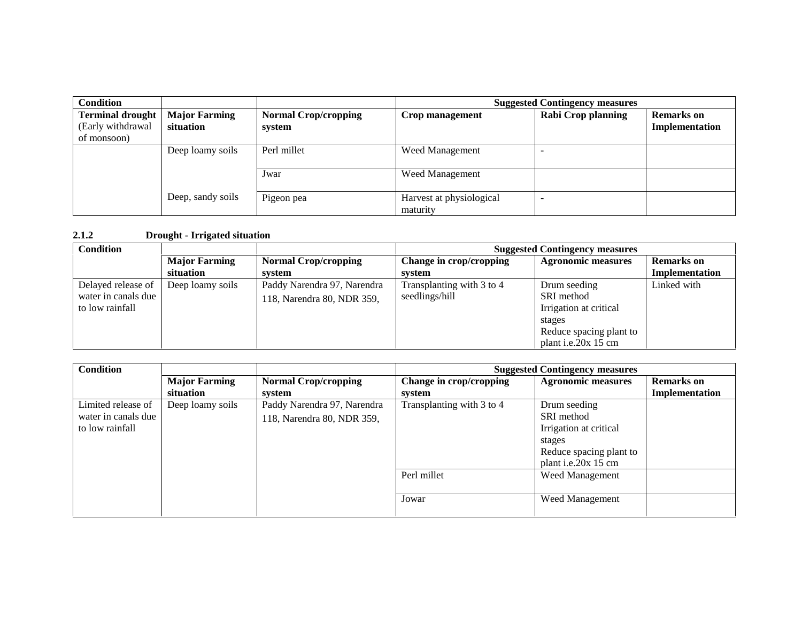| <b>Condition</b>                                            |                                   |                                       | <b>Suggested Contingency measures</b> |                    |                                     |
|-------------------------------------------------------------|-----------------------------------|---------------------------------------|---------------------------------------|--------------------|-------------------------------------|
| <b>Terminal drought</b><br>(Early withdrawal<br>of monsoon) | <b>Major Farming</b><br>situation | <b>Normal Crop/cropping</b><br>system | Crop management                       | Rabi Crop planning | <b>Remarks</b> on<br>Implementation |
|                                                             | Deep loamy soils                  | Perl millet                           | <b>Weed Management</b>                |                    |                                     |
|                                                             |                                   | Jwar                                  | <b>Weed Management</b>                |                    |                                     |
|                                                             | Deep, sandy soils                 | Pigeon pea                            | Harvest at physiological<br>maturity  |                    |                                     |

#### **2.1.2 Drought - Irrigated situation**

| <b>Condition</b>    |                      |                             | <b>Suggested Contingency measures</b> |                           |                   |  |
|---------------------|----------------------|-----------------------------|---------------------------------------|---------------------------|-------------------|--|
|                     | <b>Major Farming</b> | <b>Normal Crop/cropping</b> | Change in crop/cropping               | <b>Agronomic measures</b> | <b>Remarks</b> on |  |
|                     | situation            | system                      | system                                |                           | Implementation    |  |
| Delayed release of  | Deep loamy soils     | Paddy Narendra 97, Narendra | Transplanting with 3 to 4             | Drum seeding              | Linked with       |  |
| water in canals due |                      | 118, Narendra 80, NDR 359,  | seedlings/hill                        | SRI method                |                   |  |
| to low rainfall     |                      |                             |                                       | Irrigation at critical    |                   |  |
|                     |                      |                             |                                       | stages                    |                   |  |
|                     |                      |                             |                                       | Reduce spacing plant to   |                   |  |
|                     |                      |                             |                                       | plant i.e.20x 15 cm       |                   |  |

| <b>Condition</b>                                             |                                   |                                                           | <b>Suggested Contingency measures</b> |                                                                                                                  |                                     |
|--------------------------------------------------------------|-----------------------------------|-----------------------------------------------------------|---------------------------------------|------------------------------------------------------------------------------------------------------------------|-------------------------------------|
|                                                              | <b>Major Farming</b><br>situation | <b>Normal Crop/cropping</b><br>system                     | Change in crop/cropping<br>svstem     | <b>Agronomic measures</b>                                                                                        | <b>Remarks</b> on<br>Implementation |
| Limited release of<br>water in canals due<br>to low rainfall | Deep loamy soils                  | Paddy Narendra 97, Narendra<br>118, Narendra 80, NDR 359, | Transplanting with 3 to 4             | Drum seeding<br>SRI method<br>Irrigation at critical<br>stages<br>Reduce spacing plant to<br>plant i.e.20x 15 cm |                                     |
|                                                              |                                   |                                                           | Perl millet                           | Weed Management                                                                                                  |                                     |
|                                                              |                                   |                                                           | Jowar                                 | Weed Management                                                                                                  |                                     |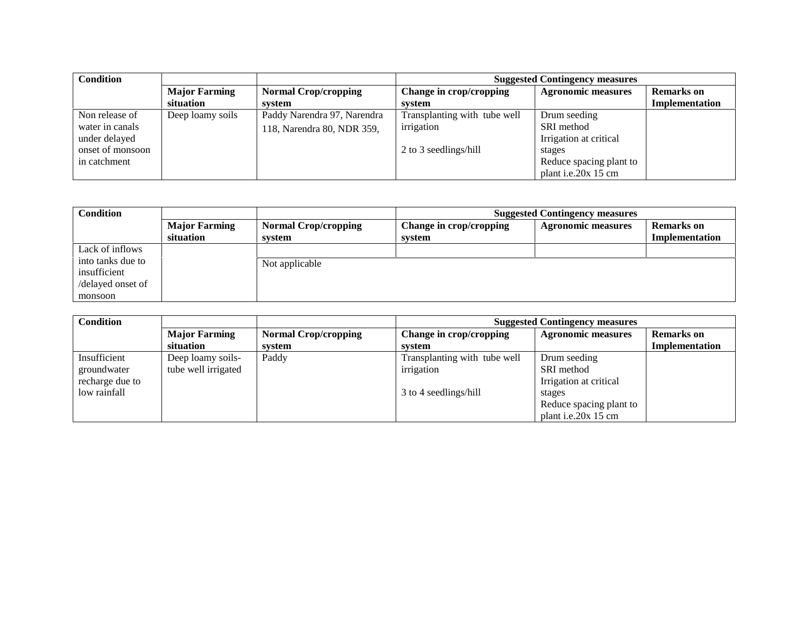| <b>Condition</b> |                      |                             | <b>Suggested Contingency measures</b> |                           |                   |  |
|------------------|----------------------|-----------------------------|---------------------------------------|---------------------------|-------------------|--|
|                  | <b>Major Farming</b> | <b>Normal Crop/cropping</b> | Change in crop/cropping               | <b>Agronomic measures</b> | <b>Remarks</b> on |  |
|                  | situation            | system                      | system                                |                           | Implementation    |  |
| Non release of   | Deep loamy soils     | Paddy Narendra 97, Narendra | Transplanting with tube well          | Drum seeding              |                   |  |
| water in canals  |                      | 118, Narendra 80, NDR 359,  | irrigation                            | SRI method                |                   |  |
| under delayed    |                      |                             |                                       | Irrigation at critical    |                   |  |
| onset of monsoon |                      |                             | 2 to 3 seedlings/hill                 | stages                    |                   |  |
| in catchment     |                      |                             |                                       | Reduce spacing plant to   |                   |  |
|                  |                      |                             |                                       | plant i.e.20 $x$ 15 cm    |                   |  |

| <b>Condition</b>                  |                                   |                                       | <b>Suggested Contingency measures</b> |                           |                                     |
|-----------------------------------|-----------------------------------|---------------------------------------|---------------------------------------|---------------------------|-------------------------------------|
|                                   | <b>Major Farming</b><br>situation | <b>Normal Crop/cropping</b><br>system | Change in crop/cropping<br>system     | <b>Agronomic measures</b> | <b>Remarks</b> on<br>Implementation |
| Lack of inflows                   |                                   |                                       |                                       |                           |                                     |
| into tanks due to<br>insufficient |                                   | Not applicable                        |                                       |                           |                                     |
| /delayed onset of                 |                                   |                                       |                                       |                           |                                     |
| monsoon                           |                                   |                                       |                                       |                           |                                     |

| <b>Condition</b> |                      |                             | <b>Suggested Contingency measures</b> |                           |                   |  |
|------------------|----------------------|-----------------------------|---------------------------------------|---------------------------|-------------------|--|
|                  | <b>Major Farming</b> | <b>Normal Crop/cropping</b> | Change in crop/cropping               | <b>Agronomic measures</b> | <b>Remarks</b> on |  |
|                  | situation            | system                      | svstem                                |                           | Implementation    |  |
| Insufficient     | Deep loamy soils-    | Paddy                       | Transplanting with tube well          | Drum seeding              |                   |  |
| groundwater      | tube well irrigated  |                             | irrigation                            | SRI method                |                   |  |
| recharge due to  |                      |                             |                                       | Irrigation at critical    |                   |  |
| low rainfall     |                      |                             | 3 to 4 seedlings/hill                 | stages                    |                   |  |
|                  |                      |                             |                                       | Reduce spacing plant to   |                   |  |
|                  |                      |                             |                                       | plant i.e.20x 15 cm       |                   |  |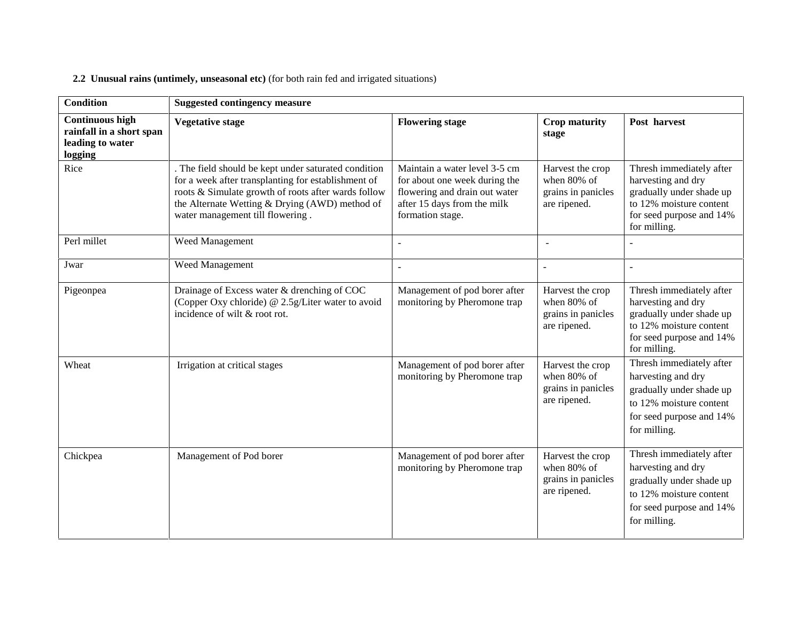## **2.2 Unusual rains (untimely, unseasonal etc)** (for both rain fed and irrigated situations)

| <b>Condition</b>                                                                  | <b>Suggested contingency measure</b>                                                                                                                                                                                                                     |                                                                                                                                                    |                                                                       |                                                                                                                                                   |  |  |
|-----------------------------------------------------------------------------------|----------------------------------------------------------------------------------------------------------------------------------------------------------------------------------------------------------------------------------------------------------|----------------------------------------------------------------------------------------------------------------------------------------------------|-----------------------------------------------------------------------|---------------------------------------------------------------------------------------------------------------------------------------------------|--|--|
| <b>Continuous high</b><br>rainfall in a short span<br>leading to water<br>logging | <b>Vegetative stage</b>                                                                                                                                                                                                                                  | <b>Flowering stage</b>                                                                                                                             | <b>Crop maturity</b><br>stage                                         | Post harvest                                                                                                                                      |  |  |
| Rice                                                                              | . The field should be kept under saturated condition<br>for a week after transplanting for establishment of<br>roots & Simulate growth of roots after wards follow<br>the Alternate Wetting & Drying (AWD) method of<br>water management till flowering. | Maintain a water level 3-5 cm<br>for about one week during the<br>flowering and drain out water<br>after 15 days from the milk<br>formation stage. | Harvest the crop<br>when 80% of<br>grains in panicles<br>are ripened. | Thresh immediately after<br>harvesting and dry<br>gradually under shade up<br>to 12% moisture content<br>for seed purpose and 14%<br>for milling. |  |  |
| Perl millet                                                                       | Weed Management                                                                                                                                                                                                                                          | $\sim$                                                                                                                                             |                                                                       |                                                                                                                                                   |  |  |
| Jwar                                                                              | Weed Management                                                                                                                                                                                                                                          | $\sim$                                                                                                                                             | $\sim$                                                                | $\sim$                                                                                                                                            |  |  |
| Pigeonpea                                                                         | Drainage of Excess water & drenching of COC<br>(Copper Oxy chloride) @ 2.5g/Liter water to avoid<br>incidence of wilt & root rot.                                                                                                                        | Management of pod borer after<br>monitoring by Pheromone trap                                                                                      | Harvest the crop<br>when 80% of<br>grains in panicles<br>are ripened. | Thresh immediately after<br>harvesting and dry<br>gradually under shade up<br>to 12% moisture content<br>for seed purpose and 14%<br>for milling. |  |  |
| Wheat                                                                             | Irrigation at critical stages                                                                                                                                                                                                                            | Management of pod borer after<br>monitoring by Pheromone trap                                                                                      | Harvest the crop<br>when 80% of<br>grains in panicles<br>are ripened. | Thresh immediately after<br>harvesting and dry<br>gradually under shade up<br>to 12% moisture content<br>for seed purpose and 14%<br>for milling. |  |  |
| Chickpea                                                                          | Management of Pod borer                                                                                                                                                                                                                                  | Management of pod borer after<br>monitoring by Pheromone trap                                                                                      | Harvest the crop<br>when 80% of<br>grains in panicles<br>are ripened. | Thresh immediately after<br>harvesting and dry<br>gradually under shade up<br>to 12% moisture content<br>for seed purpose and 14%<br>for milling. |  |  |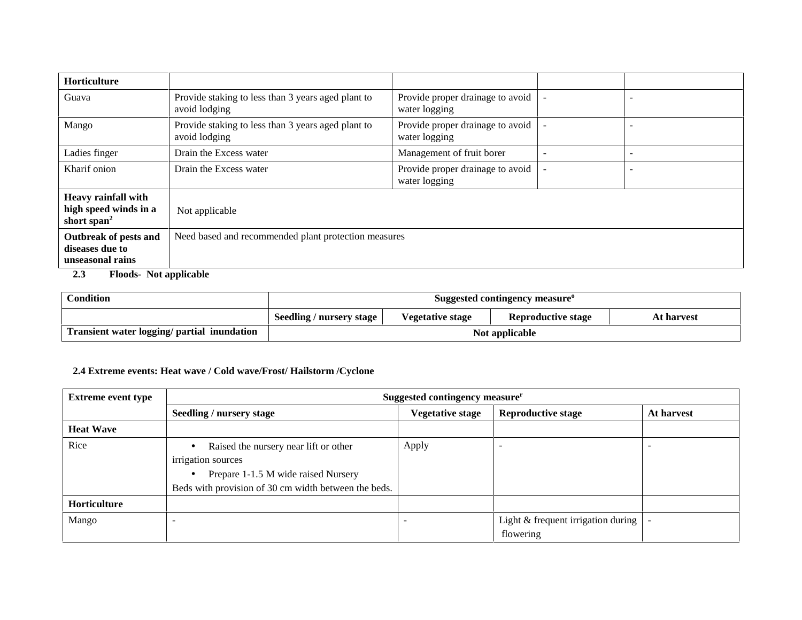| <b>Horticulture</b>                                                            |                                                                     |                                                   |  |                          |  |  |
|--------------------------------------------------------------------------------|---------------------------------------------------------------------|---------------------------------------------------|--|--------------------------|--|--|
| Guava                                                                          | Provide staking to less than 3 years aged plant to<br>avoid lodging | Provide proper drainage to avoid<br>water logging |  | -                        |  |  |
| Mango                                                                          | Provide staking to less than 3 years aged plant to<br>avoid lodging | Provide proper drainage to avoid<br>water logging |  | $\sim$                   |  |  |
| Ladies finger                                                                  | Drain the Excess water                                              | Management of fruit borer                         |  | ۰                        |  |  |
| Kharif onion                                                                   | Drain the Excess water                                              | Provide proper drainage to avoid<br>water logging |  | $\overline{\phantom{0}}$ |  |  |
| <b>Heavy rainfall with</b><br>high speed winds in a<br>short span <sup>2</sup> | Not applicable                                                      |                                                   |  |                          |  |  |
| Outbreak of pests and<br>diseases due to<br>unseasonal rains                   | Need based and recommended plant protection measures                |                                                   |  |                          |  |  |

#### **2.3 Floods- Not applicable**

| <b>Condition</b>                            | Suggested contingency measure <sup>o</sup> |                         |                           |            |  |
|---------------------------------------------|--------------------------------------------|-------------------------|---------------------------|------------|--|
|                                             | Seedling / nursery stage                   | <b>Vegetative stage</b> | <b>Reproductive stage</b> | At harvest |  |
| Transient water logging/ partial inundation | Not applicable                             |                         |                           |            |  |

#### **2.4 Extreme events: Heat wave / Cold wave/Frost/ Hailstorm /Cyclone**

| <b>Extreme event type</b> | Suggested contingency measurer                                                                                                                                          |                         |                                                         |            |  |  |
|---------------------------|-------------------------------------------------------------------------------------------------------------------------------------------------------------------------|-------------------------|---------------------------------------------------------|------------|--|--|
|                           | Seedling / nursery stage                                                                                                                                                | <b>Vegetative stage</b> | <b>Reproductive stage</b>                               | At harvest |  |  |
| <b>Heat Wave</b>          |                                                                                                                                                                         |                         |                                                         |            |  |  |
| Rice                      | Raised the nursery near lift or other<br>irrigation sources<br>Prepare 1-1.5 M wide raised Nursery<br>$\bullet$<br>Beds with provision of 30 cm width between the beds. | Apply                   |                                                         |            |  |  |
| Horticulture              |                                                                                                                                                                         |                         |                                                         |            |  |  |
| Mango                     |                                                                                                                                                                         |                         | Light $\&$ frequent irrigation during $\ $<br>flowering |            |  |  |